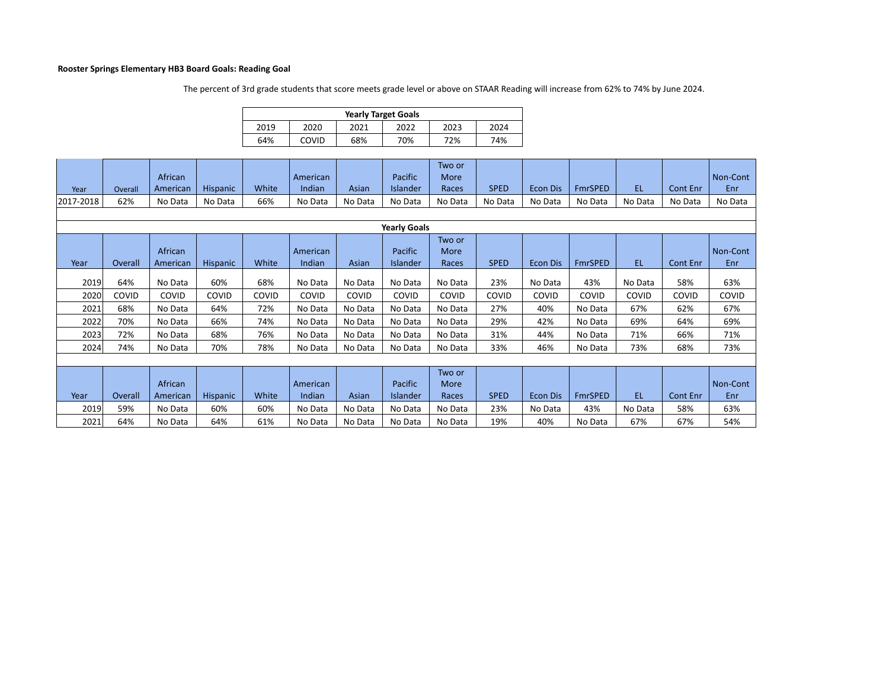## **Rooster Springs Elementary HB3 Board Goals: Reading Goal**

The percent of 3rd grade students that score meets grade level or above on STAAR Reading will increase from 62% to 74% by June 2024.

| <b>Yearly Target Goals</b> |       |      |      |      |      |  |  |  |  |  |  |  |
|----------------------------|-------|------|------|------|------|--|--|--|--|--|--|--|
| 2019                       | 2020  | 2021 | 2022 | 2023 | 2024 |  |  |  |  |  |  |  |
| 64%                        | COVID | 68%  | 70%  | 72%  | 74%  |  |  |  |  |  |  |  |

| Year                | Overall | African<br>American | <b>Hispanic</b> | White | American<br>Indian | Asian   | Pacific<br>Islander | Two or<br>More<br>Races | <b>SPED</b> | <b>Econ Dis</b> | <b>FmrSPED</b> | <b>EL</b> | Cont Enr | Non-Cont<br>Enr |
|---------------------|---------|---------------------|-----------------|-------|--------------------|---------|---------------------|-------------------------|-------------|-----------------|----------------|-----------|----------|-----------------|
| 2017-2018           | 62%     | No Data             | No Data         | 66%   | No Data            | No Data | No Data             | No Data                 | No Data     | No Data         | No Data        | No Data   | No Data  | No Data         |
|                     |         |                     |                 |       |                    |         |                     |                         |             |                 |                |           |          |                 |
| <b>Yearly Goals</b> |         |                     |                 |       |                    |         |                     |                         |             |                 |                |           |          |                 |
|                     |         |                     |                 |       |                    |         |                     | $T_{MLO}$               |             |                 |                |           |          |                 |

|      |         |          |          |       |          |         |                 | Two or  |             |                 |                |         |          |          |
|------|---------|----------|----------|-------|----------|---------|-----------------|---------|-------------|-----------------|----------------|---------|----------|----------|
|      |         | African  |          |       | American |         | Pacific         | More    |             |                 |                |         |          | Non-Cont |
| Year | Overall | American | Hispanic | White | Indian   | Asian   | <b>Islander</b> | Races   | <b>SPED</b> | <b>Econ Dis</b> | <b>FmrSPED</b> | EL.     | Cont Enr | Enr      |
|      |         |          |          |       |          |         |                 |         |             |                 |                |         |          |          |
| 2019 | 64%     | No Data  | 60%      | 68%   | No Data  | No Data | No Data         | No Data | 23%         | No Data         | 43%            | No Data | 58%      | 63%      |
| 2020 | COVID   | COVID    | COVID    | COVID | COVID    | COVID   | COVID           | COVID   | COVID       | COVID           | COVID          | COVID   | COVID    | COVID    |
| 2021 | 68%     | No Data  | 64%      | 72%   | No Data  | No Data | No Data         | No Data | 27%         | 40%             | No Data        | 67%     | 62%      | 67%      |
| 2022 | 70%     | No Data  | 66%      | 74%   | No Data  | No Data | No Data         | No Data | 29%         | 42%             | No Data        | 69%     | 64%      | 69%      |
| 2023 | 72%     | No Data  | 68%      | 76%   | No Data  | No Data | No Data         | No Data | 31%         | 44%             | No Data        | 71%     | 66%      | 71%      |
| 2024 | 74%     | No Data  | 70%      | 78%   | No Data  | No Data | No Data         | No Data | 33%         | 46%             | No Data        | 73%     | 68%      | 73%      |
|      |         |          |          |       |          |         |                 |         |             |                 |                |         |          |          |
|      |         |          |          |       |          |         |                 | Two or  |             |                 |                |         |          |          |
|      |         | African  |          |       | American |         | Pacific         | More    |             |                 |                |         |          | Non-Cont |
| Year | Overall | American | Hispanic | White | Indian   | Asian   | <b>Islander</b> | Races   | <b>SPED</b> | <b>Econ Dis</b> | <b>FmrSPED</b> | EL.     | Cont Enr | Enr      |
| 2019 | 59%     | No Data  | 60%      | 60%   | No Data  | No Data | No Data         | No Data | 23%         | No Data         | 43%            | No Data | 58%      | 63%      |
| 2021 | 64%     | No Data  | 64%      | 61%   | No Data  | No Data | No Data         | No Data | 19%         | 40%             | No Data        | 67%     | 67%      | 54%      |